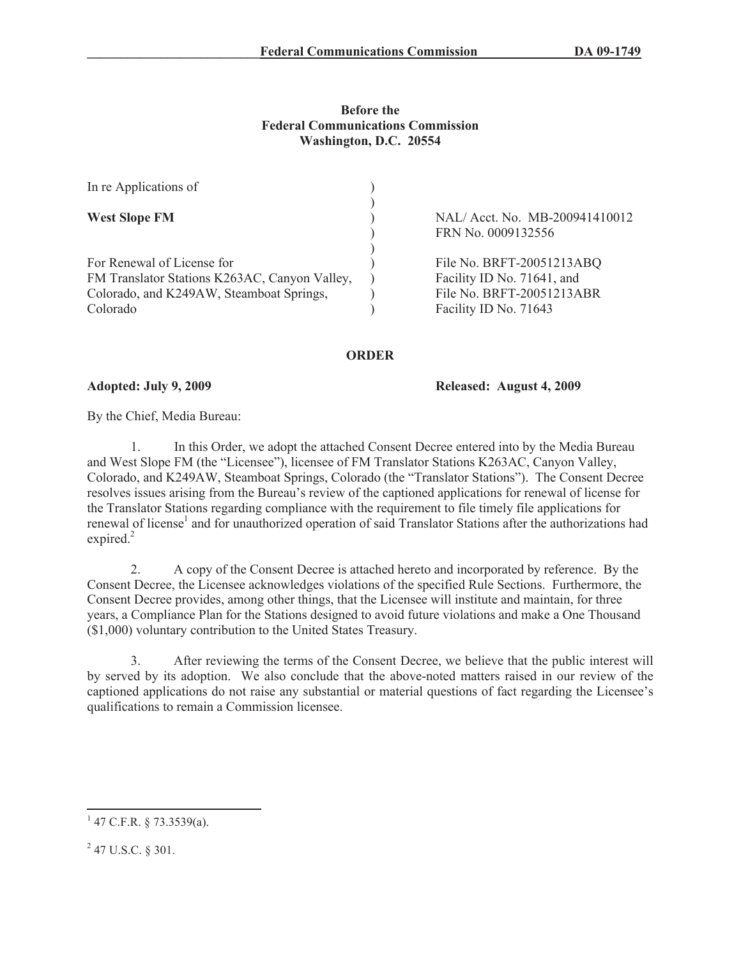## **Before the Federal Communications Commission Washington, D.C. 20554**

| NAL/ Acct. No. MB-200941410012 |
|--------------------------------|
| FRN No. 0009132556             |
|                                |
| File No. BRFT-20051213ABQ      |
| Facility ID No. 71641, and     |
| File No. BRFT-20051213ABR      |
| Facility ID No. 71643          |
|                                |

## **ORDER**

**Adopted: July 9, 2009 Released: August 4, 2009**

By the Chief, Media Bureau:

1. In this Order, we adopt the attached Consent Decree entered into by the Media Bureau and West Slope FM (the "Licensee"), licensee of FM Translator Stations K263AC, Canyon Valley, Colorado, and K249AW, Steamboat Springs, Colorado (the "Translator Stations"). The Consent Decree resolves issues arising from the Bureau's review of the captioned applications for renewal of license for the Translator Stations regarding compliance with the requirement to file timely file applications for renewal of license<sup>1</sup> and for unauthorized operation of said Translator Stations after the authorizations had expired.<sup>2</sup>

2. A copy of the Consent Decree is attached hereto and incorporated by reference. By the Consent Decree, the Licensee acknowledges violations of the specified Rule Sections. Furthermore, the Consent Decree provides, among other things, that the Licensee will institute and maintain, for three years, a Compliance Plan for the Stations designed to avoid future violations and make a One Thousand (\$1,000) voluntary contribution to the United States Treasury.

3. After reviewing the terms of the Consent Decree, we believe that the public interest will by served by its adoption. We also conclude that the above-noted matters raised in our review of the captioned applications do not raise any substantial or material questions of fact regarding the Licensee's qualifications to remain a Commission licensee.

 $1$  47 C.F.R. § 73.3539(a).

 $^{2}$  47 U.S.C. § 301.